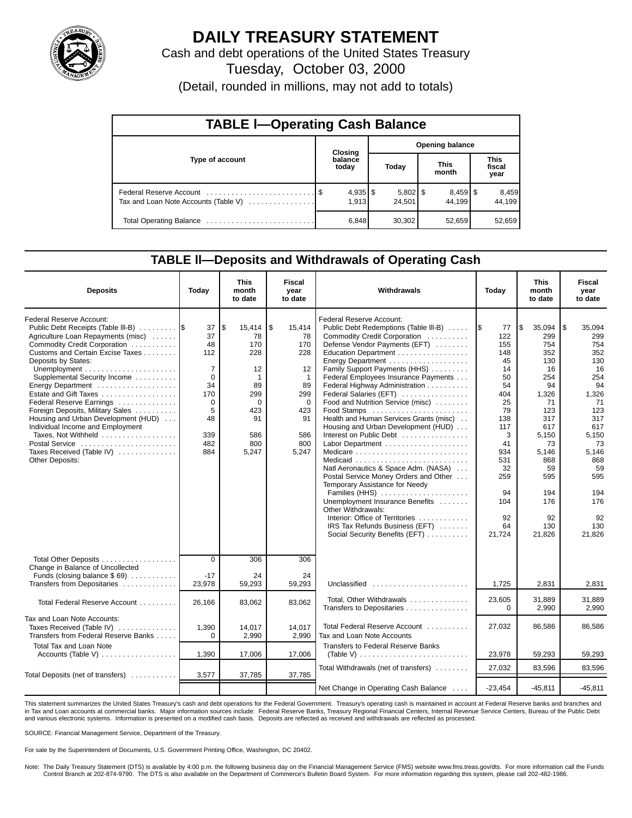

# **DAILY TREASURY STATEMENT**

Cash and debt operations of the United States Treasury

Tuesday, October 03, 2000

(Detail, rounded in millions, may not add to totals)

| <b>TABLE I-Operating Cash Balance</b> |  |                  |                 |                      |  |                                 |  |                               |  |  |
|---------------------------------------|--|------------------|-----------------|----------------------|--|---------------------------------|--|-------------------------------|--|--|
|                                       |  | Closing          | Opening balance |                      |  |                                 |  |                               |  |  |
| Type of account                       |  | balance<br>today |                 | Today                |  | <b>This</b><br>month            |  | <b>This</b><br>fiscal<br>year |  |  |
| Tax and Loan Note Accounts (Table V)  |  | 1.913            |                 | $5,802$ \$<br>24,501 |  | $8,459$ $\frac{8}{3}$<br>44.199 |  | 8,459<br>44.199               |  |  |
|                                       |  | 6,848            |                 | 30,302               |  | 52,659                          |  | 52,659                        |  |  |

### **TABLE ll—Deposits and Withdrawals of Operating Cash**

| <b>Deposits</b>                                                                                                                                                                                                                                                                                                                                                                                                                                                                                                   | Today                                                                                                 | <b>This</b><br>month<br>to date                                                                                            | Fiscal<br>vear<br>to date                                                                                        | Withdrawals                                                                                                                                                                                                                                                                                                                                                                                                                                                                                                                                                                                                                                                                                                                                                            | Today                                                                                                                                                            | <b>This</b><br>month<br>to date                                                                                                                                                    | Fiscal<br>year<br>to date                                                                                                                                                           |
|-------------------------------------------------------------------------------------------------------------------------------------------------------------------------------------------------------------------------------------------------------------------------------------------------------------------------------------------------------------------------------------------------------------------------------------------------------------------------------------------------------------------|-------------------------------------------------------------------------------------------------------|----------------------------------------------------------------------------------------------------------------------------|------------------------------------------------------------------------------------------------------------------|------------------------------------------------------------------------------------------------------------------------------------------------------------------------------------------------------------------------------------------------------------------------------------------------------------------------------------------------------------------------------------------------------------------------------------------------------------------------------------------------------------------------------------------------------------------------------------------------------------------------------------------------------------------------------------------------------------------------------------------------------------------------|------------------------------------------------------------------------------------------------------------------------------------------------------------------|------------------------------------------------------------------------------------------------------------------------------------------------------------------------------------|-------------------------------------------------------------------------------------------------------------------------------------------------------------------------------------|
| Federal Reserve Account:<br>Public Debt Receipts (Table III-B)<br>Agriculture Loan Repayments (misc)<br>Commodity Credit Corporation<br>Customs and Certain Excise Taxes<br>Deposits by States:<br>Supplemental Security Income<br>Energy Department<br>Estate and Gift Taxes<br>Federal Reserve Earnings<br>Foreign Deposits, Military Sales<br>Housing and Urban Development (HUD)<br>Individual Income and Employment<br>Taxes, Not Withheld<br>Postal Service<br>Taxes Received (Table IV)<br>Other Deposits: | 37<br>37<br>48<br>112<br>$\overline{7}$<br>$\Omega$<br>34<br>170<br>0<br>5<br>48<br>339<br>482<br>884 | l\$<br>$15,414$ $\sqrt{5}$<br>78<br>170<br>228<br>12<br>$\mathbf{1}$<br>89<br>299<br>0<br>423<br>91<br>586<br>800<br>5,247 | 15,414<br>78<br>170<br>228<br>12<br>$\mathbf{1}$<br>89<br>299<br>$\mathbf 0$<br>423<br>91<br>586<br>800<br>5,247 | Federal Reserve Account:<br>Public Debt Redemptions (Table III-B)<br>Commodity Credit Corporation<br>Defense Vendor Payments (EFT)<br>Education Department<br>Family Support Payments (HHS)<br>Federal Employees Insurance Payments<br>Federal Highway Administration<br>Federal Salaries (EFT)<br>Food and Nutrition Service (misc)<br>Food Stamps<br>Health and Human Services Grants (misc).<br>Housing and Urban Development (HUD)<br>Interest on Public Debt<br>Natl Aeronautics & Space Adm. (NASA)<br>Postal Service Money Orders and Other<br>Temporary Assistance for Needy<br>Families (HHS)<br>Unemployment Insurance Benefits<br>Other Withdrawals:<br>Interior: Office of Territories<br>IRS Tax Refunds Business (EFT)<br>Social Security Benefits (EFT) | I\$<br>77<br>122<br>155<br>148<br>45<br>14<br>50<br>54<br>404<br>25<br>79<br>138<br>117<br>3<br>41<br>934<br>531<br>32<br>259<br>94<br>104<br>92<br>64<br>21,724 | l \$<br>35,094<br>299<br>754<br>352<br>130<br>16<br>254<br>94<br>1.326<br>71<br>123<br>317<br>617<br>5,150<br>73<br>5,146<br>868<br>59<br>595<br>194<br>176<br>92<br>130<br>21,826 | l \$<br>35,094<br>299<br>754<br>352<br>130<br>16<br>254<br>94<br>1,326<br>-71<br>123<br>317<br>617<br>5,150<br>73<br>5,146<br>868<br>59<br>595<br>194<br>176<br>92<br>130<br>21,826 |
| Total Other Deposits<br>Change in Balance of Uncollected<br>Funds (closing balance $$69$ )<br>Transfers from Depositaries                                                                                                                                                                                                                                                                                                                                                                                         | $\overline{0}$<br>$-17$<br>23,978                                                                     | 306<br>24<br>59,293                                                                                                        | 306<br>24<br>59,293                                                                                              | Unclassified                                                                                                                                                                                                                                                                                                                                                                                                                                                                                                                                                                                                                                                                                                                                                           | 1,725                                                                                                                                                            | 2,831                                                                                                                                                                              | 2,831                                                                                                                                                                               |
| Total Federal Reserve Account                                                                                                                                                                                                                                                                                                                                                                                                                                                                                     | 26,166                                                                                                | 83,062                                                                                                                     | 83,062                                                                                                           | Total, Other Withdrawals<br>Transfers to Depositaries                                                                                                                                                                                                                                                                                                                                                                                                                                                                                                                                                                                                                                                                                                                  | 23,605<br>$\Omega$                                                                                                                                               | 31,889<br>2,990                                                                                                                                                                    | 31,889<br>2,990                                                                                                                                                                     |
| Tax and Loan Note Accounts:<br>Taxes Received (Table IV)<br>Transfers from Federal Reserve Banks<br><b>Total Tax and Loan Note</b>                                                                                                                                                                                                                                                                                                                                                                                | 1,390<br>$\Omega$                                                                                     | 14,017<br>2,990                                                                                                            | 14.017<br>2,990                                                                                                  | Total Federal Reserve Account<br>Tax and Loan Note Accounts<br>Transfers to Federal Reserve Banks                                                                                                                                                                                                                                                                                                                                                                                                                                                                                                                                                                                                                                                                      | 27,032                                                                                                                                                           | 86,586                                                                                                                                                                             | 86,586                                                                                                                                                                              |
|                                                                                                                                                                                                                                                                                                                                                                                                                                                                                                                   | 1,390                                                                                                 | 17,006                                                                                                                     | 17,006                                                                                                           | (Table V) $\ldots \ldots \ldots \ldots \ldots \ldots \ldots \ldots$                                                                                                                                                                                                                                                                                                                                                                                                                                                                                                                                                                                                                                                                                                    | 23,978                                                                                                                                                           | 59,293                                                                                                                                                                             | 59,293                                                                                                                                                                              |
| Total Deposits (net of transfers)                                                                                                                                                                                                                                                                                                                                                                                                                                                                                 | 3,577                                                                                                 | 37,785                                                                                                                     | 37,785                                                                                                           | Total Withdrawals (net of transfers)                                                                                                                                                                                                                                                                                                                                                                                                                                                                                                                                                                                                                                                                                                                                   | 27,032                                                                                                                                                           | 83.596                                                                                                                                                                             | 83,596                                                                                                                                                                              |
|                                                                                                                                                                                                                                                                                                                                                                                                                                                                                                                   |                                                                                                       |                                                                                                                            |                                                                                                                  | Net Change in Operating Cash Balance                                                                                                                                                                                                                                                                                                                                                                                                                                                                                                                                                                                                                                                                                                                                   | $-23,454$                                                                                                                                                        | $-45,811$                                                                                                                                                                          | $-45,811$                                                                                                                                                                           |

This statement summarizes the United States Treasury's cash and debt operations for the Federal Government. Treasury's operating cash is maintained in account at Federal Reserve banks and branches and in Tax and Loan accounts at commercial banks. Major information sources include: Federal Reserve Banks, Treasury Regional Financial Centers, Internal Revenue Service Centers, Bureau of the Public Debt and various electronic systems. Information is presented on a modified cash basis. Deposits are reflected as received and withdrawals are reflected as processed.

SOURCE: Financial Management Service, Department of the Treasury.

For sale by the Superintendent of Documents, U.S. Government Printing Office, Washington, DC 20402.

Note: The Daily Treasury Statement (DTS) is available by 4:00 p.m. the following business day on the Financial Management Service (FMS) website www.fms.treas.gov/dts. For more information call the Funds Control Branch at 202-874-9790. The DTS is also available on the Department of Commerce's Bulletin Board System. For more information regarding this system, please call 202-482-1986.